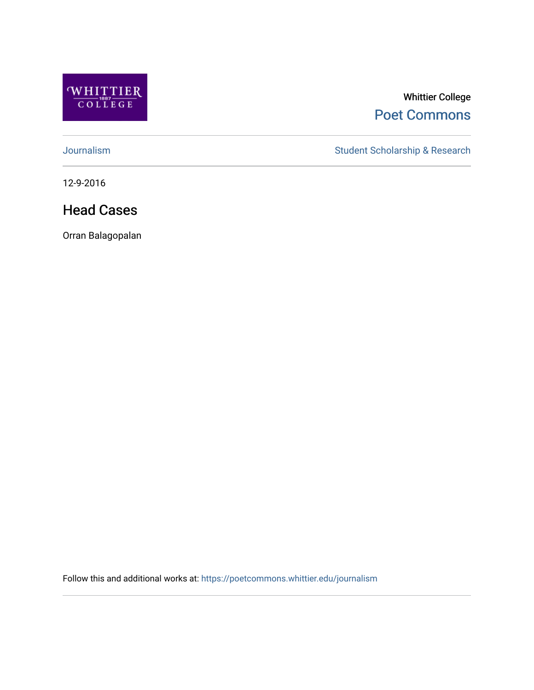

#### Whittier College [Poet Commons](https://poetcommons.whittier.edu/)

[Journalism](https://poetcommons.whittier.edu/journalism) Student Scholarship & Research

12-9-2016

#### Head Cases

Orran Balagopalan

Follow this and additional works at: [https://poetcommons.whittier.edu/journalism](https://poetcommons.whittier.edu/journalism?utm_source=poetcommons.whittier.edu%2Fjournalism%2F2&utm_medium=PDF&utm_campaign=PDFCoverPages)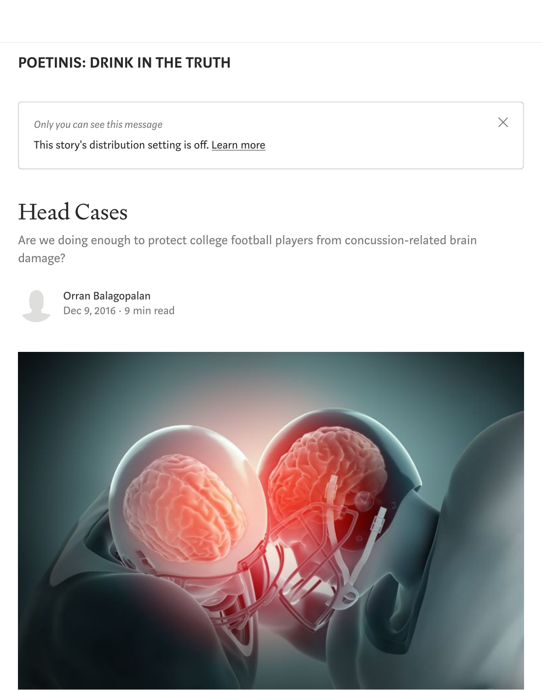#### [POETINIS: DRINK IN THE TRUTH](https://medium.com/engl-201?source=post_page-----d8eea1e233b0----------------------)

*Only you can see this message*

This story's distribution setting is off. [Learn more](https://help.medium.com/hc/en-us/articles/360018834334?source=post_page-----d8eea1e233b0----------------------)

### Head Cases

Are we doing enough to protect college football players from concussion-related brain damage?

 $\times$ 

[Orran Balagopalan](https://medium.com/@Orran?source=post_page-----d8eea1e233b0----------------------) [Dec 9, 2016](https://medium.com/engl-201/for-football-players-problem-of-concussion-and-cte-ever-present-d8eea1e233b0?source=post_page-----d8eea1e233b0----------------------) · 9 min read

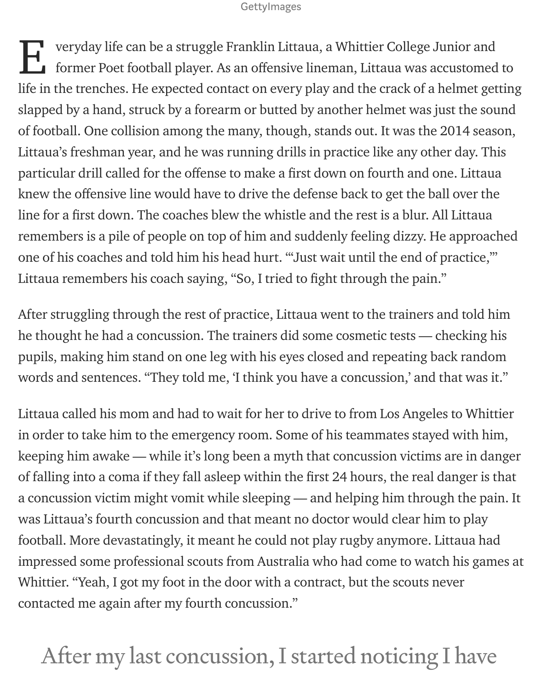#### GettyImages

veryday life can be a struggle Franklin Littaua, a Whittier College Junior and former Poet football player. As an offensive lineman, Littaua was accustomed to life in the trenches. He expected contact on every play and the crack of a helmet getting slapped by a hand, struck by a forearm or butted by another helmet was just the sound of football. One collision among the many, though, stands out. It was the 2014 season, Littaua's freshman year, and he was running drills in practice like any other day. This particular drill called for the offense to make a first down on fourth and one. Littaua knew the offensive line would have to drive the defense back to get the ball over the line for a first down. The coaches blew the whistle and the rest is a blur. All Littaua remembers is a pile of people on top of him and suddenly feeling dizzy. He approached one of his coaches and told him his head hurt. "'Just wait until the end of practice,'" Littaua remembers his coach saying, "So, I tried to fight through the pain." E

After struggling through the rest of practice, Littaua went to the trainers and told him he thought he had a concussion. The trainers did some cosmetic tests — checking his pupils, making him stand on one leg with his eyes closed and repeating back random words and sentences. "They told me, 'I think you have a concussion,' and that was it."

Littaua called his mom and had to wait for her to drive to from Los Angeles to Whittier in order to take him to the emergency room. Some of his teammates stayed with him, keeping him awake — while it's long been a myth that concussion victims are in danger of falling into a coma if they fall asleep within the first 24 hours, the real danger is that a concussion victim might vomit while sleeping — and helping him through the pain. It was Littaua's fourth concussion and that meant no doctor would clear him to play football. More devastatingly, it meant he could not play rugby anymore. Littaua had impressed some professional scouts from Australia who had come to watch his games at Whittier. "Yeah, I got my foot in the door with a contract, but the scouts never contacted me again after my fourth concussion."

### After my last concussion, I started noticing I have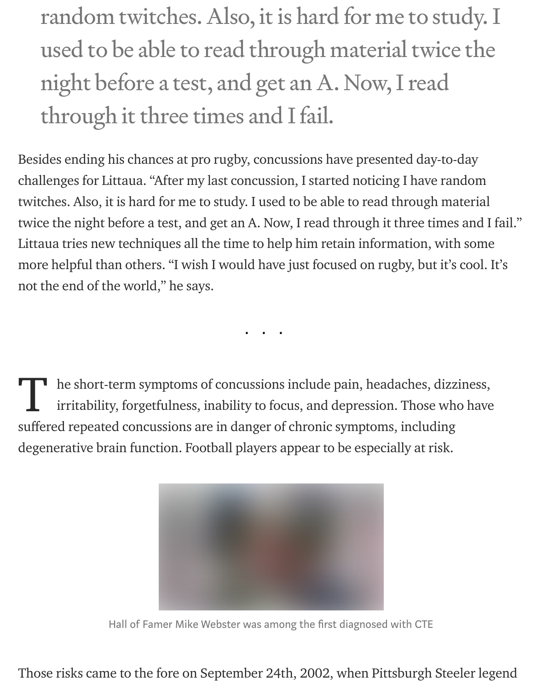random twitches. Also, it is hard for me to study. I used to be able to read through material twice the night before a test, and get an A. Now, I read through it three times and I fail.

Besides ending his chances at pro rugby, concussions have presented day-to-day challenges for Littaua. "After my last concussion, I started noticing I have random twitches. Also, it is hard for me to study. I used to be able to read through material twice the night before a test, and get an A. Now, I read through it three times and I fail." Littaua tries new techniques all the time to help him retain information, with some more helpful than others. "I wish I would have just focused on rugby, but it's cool. It's not the end of the world," he says.

he short-term symptoms of concussions include pain, headaches, dizziness, irritability, forgetfulness, inability to focus, and depression. Those who have suffered repeated concussions are in danger of chronic symptoms, including degenerative brain function. Football players appear to be especially at risk. T

...



Hall of Famer Mike Webster was among the first diagnosed with CTE

Those risks came to the fore on September 24th, 2002, when Pittsburgh Steeler legend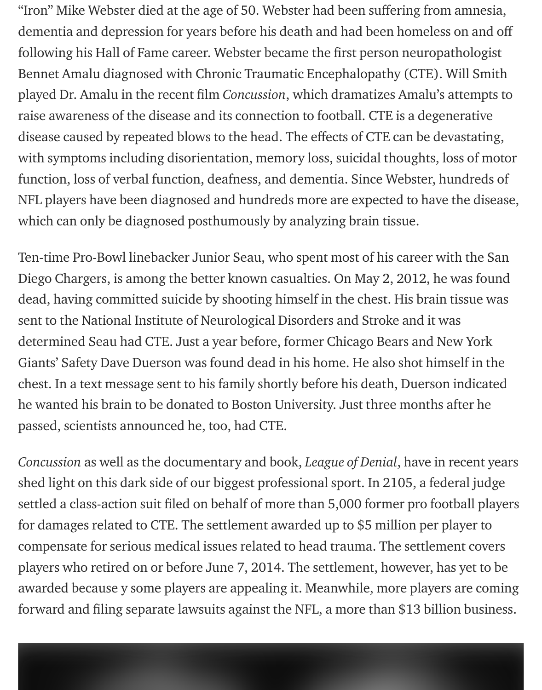"Iron" Mike Webster died at the age of 50. Webster had been suffering from amnesia, dementia and depression for years before his death and had been homeless on and off following his Hall of Fame career. Webster became the first person neuropathologist Bennet Amalu diagnosed with Chronic Traumatic Encephalopathy (CTE). Will Smith played Dr. Amalu in the recent film Concussion, which dramatizes Amalu's attempts to raise awareness of the disease and its connection to football. CTE is a degenerative disease caused by repeated blows to the head. The effects of CTE can be devastating, with symptoms including disorientation, memory loss, suicidal thoughts, loss of motor function, loss of verbal function, deafness, and dementia. Since Webster, hundreds of NFL players have been diagnosed and hundreds more are expected to have the disease, which can only be diagnosed posthumously by analyzing brain tissue.

Ten-time Pro-Bowl linebacker Junior Seau, who spent most of his career with the San Diego Chargers, is among the better known casualties. On May 2, 2012, he was found dead, having committed suicide by shooting himself in the chest. His brain tissue was sent to the National Institute of Neurological Disorders and Stroke and it was determined Seau had CTE. Just a year before, former Chicago Bears and New York Giants' Safety Dave Duerson was found dead in his home. He also shot himself in the chest. In a text message sent to his family shortly before his death, Duerson indicated he wanted his brain to be donated to Boston University. Just three months after he passed, scientists announced he, too, had CTE.

Concussion as well as the documentary and book, League of Denial, have in recent years shed light on this dark side of our biggest professional sport. In 2105, a federal judge settled a class-action suit filed on behalf of more than 5,000 former pro football players for damages related to CTE. The settlement awarded up to \$5 million per player to compensate for serious medical issues related to head trauma. The settlement covers players who retired on or before June 7, 2014. The settlement, however, has yet to be awarded because y some players are appealing it. Meanwhile, more players are coming forward and filing separate lawsuits against the NFL, a more than \$13 billion business.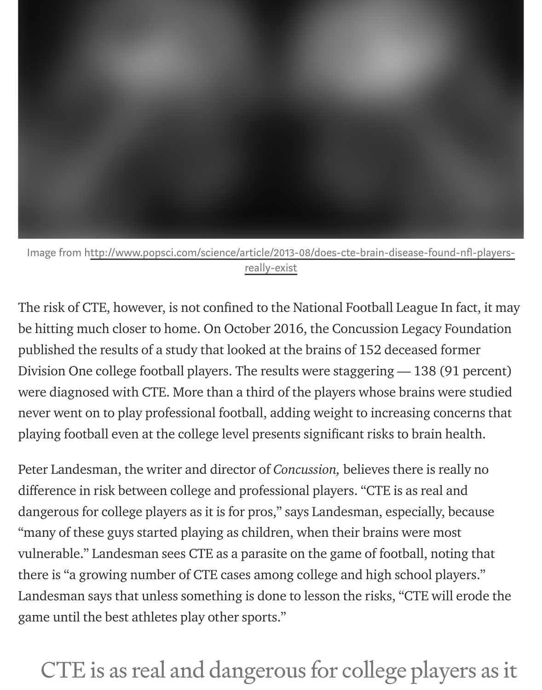

#### Image from http://www.popsci.com/science/article/2013-08/does-cte-brain-disease-found-nfl-playersreally-exist

The risk of CTE, however, is not confined to the National Football League In fact, it may be hitting much closer to home. On October 2016, the Concussion Legacy Foundation published the results of a study that looked at the brains of 152 deceased former Division One college football players. The results were staggering — 138 (91 percent) were diagnosed with CTE. More than a third of the players whose brains were studied never went on to play professional football, adding weight to increasing concerns that playing football even at the college level presents significant risks to brain health.

Peter Landesman, the writer and director of Concussion, believes there is really no difference in risk between college and professional players. "CTE is as real and dangerous for college players as it is for pros," says Landesman, especially, because "many of these guys started playing as children, when their brains were most vulnerable." Landesman sees CTE as a parasite on the game of football, noting that there is "a growing number of CTE cases among college and high school players." Landesman says that unless something is done to lesson the risks, "CTE will erode the game until the best athletes play other sports."

### CTE is as real and dangerous for college players as it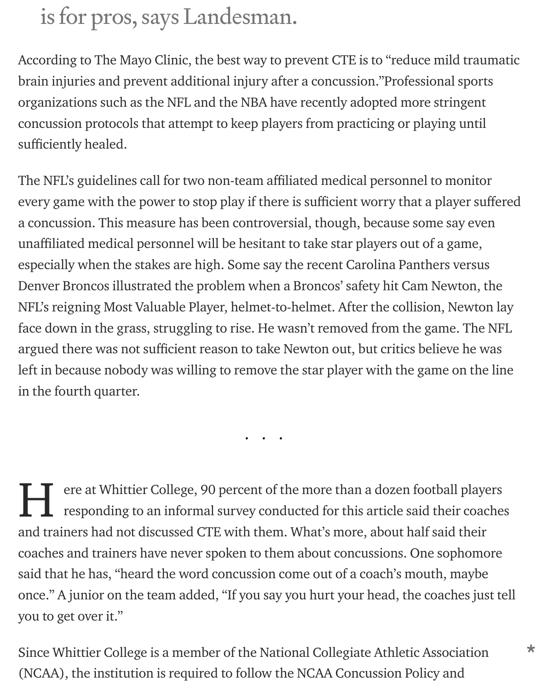### is for pros, says Landesman.

According to The Mayo Clinic, the best way to prevent CTE is to "reduce mild traumatic brain injuries and prevent additional injury after a concussion."Professional sports organizations such as the NFL and the NBA have recently adopted more stringent concussion protocols that attempt to keep players from practicing or playing until sufficiently healed.

The NFL's guidelines call for two non-team affiliated medical personnel to monitor every game with the power to stop play if there is sufficient worry that a player suffered a concussion. This measure has been controversial, though, because some say even unaffiliated medical personnel will be hesitant to take star players out of a game, especially when the stakes are high. Some say the recent Carolina Panthers versus Denver Broncos illustrated the problem when a Broncos' safety hit Cam Newton, the NFL's reigning Most Valuable Player, helmet-to-helmet. After the collision, Newton lay face down in the grass, struggling to rise. He wasn't removed from the game. The NFL argued there was not sufficient reason to take Newton out, but critics believe he was left in because nobody was willing to remove the star player with the game on the line in the fourth quarter.

...

ere at Whittier College, 90 percent of the more than a dozen football players responding to an informal survey conducted for this article said their coaches and trainers had not discussed CTE with them. What's more, about half said their coaches and trainers have never spoken to them about concussions. One sophomore said that he has, "heard the word concussion come out of a coach's mouth, maybe once." A junior on the team added, "If you say you hurt your head, the coaches just tell you to get over it." H

Since Whittier College is a member of the National Collegiate Athletic Association (NCAA), the institution is required to follow the NCAA Concussion Policy and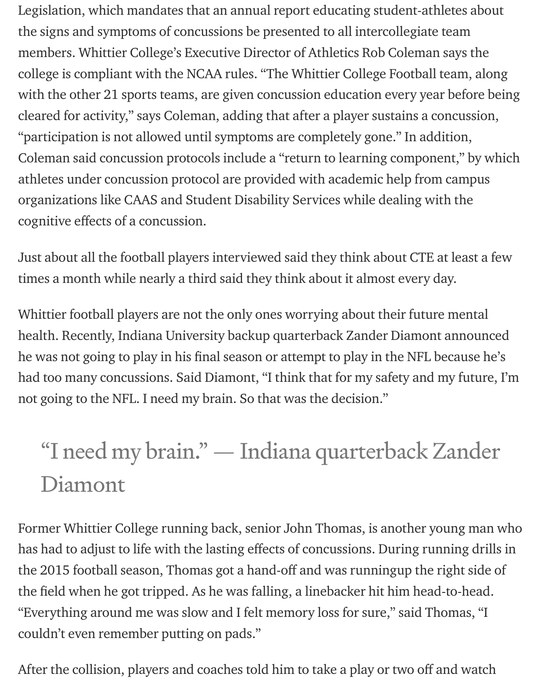Legislation, which mandates that an annual report educating student-athletes about the signs and symptoms of concussions be presented to all intercollegiate team members. Whittier College's Executive Director of Athletics Rob Coleman says the college is compliant with the NCAA rules. "The Whittier College Football team, along with the other 21 sports teams, are given concussion education every year before being cleared for activity," says Coleman, adding that after a player sustains a concussion, "participation is not allowed until symptoms are completely gone." In addition, Coleman said concussion protocols include a "return to learning component," by which athletes under concussion protocol are provided with academic help from campus organizations like CAAS and Student Disability Services while dealing with the cognitive effects of a concussion.

Just about all the football players interviewed said they think about CTE at least a few times a month while nearly a third said they think about it almost every day.

Whittier football players are not the only ones worrying about their future mental health. Recently, Indiana University backup quarterback Zander Diamont announced he was not going to play in his final season or attempt to play in the NFL because he's had too many concussions. Said Diamont, "I think that for my safety and my future, I'm not going to the NFL. I need my brain. So that was the decision."

# "I need my brain." — Indiana quarterback Zander Diamont

Former Whittier College running back, senior John Thomas, is another young man who has had to adjust to life with the lasting effects of concussions. During running drills in the 2015 football season, Thomas got a hand-off and was runningup the right side of the field when he got tripped. As he was falling, a linebacker hit him head-to-head. "Everything around me was slow and I felt memory loss for sure," said Thomas, "I couldn't even remember putting on pads."

After the collision, players and coaches told him to take a play or two off and watch